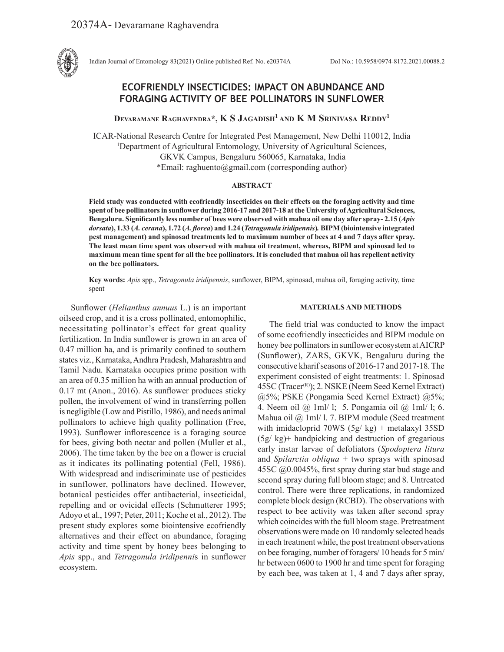

Indian Journal of Entomology 83(2021) Online published Ref. No. e20374A DoI No.: 10.5958/0974-8172.2021.00088.2

# **ECOFRIENDLY INSECTICIDES: IMPACT ON ABUNDANCE AND FORAGING ACTIVITY OF BEE POLLINATORS IN SUNFLOWER**

**Devaramane Raghavendra\*, K S Jagadish1 and K M Srinivasa Reddy1**

ICAR-National Research Centre for Integrated Pest Management, New Delhi 110012, India <sup>1</sup>Department of Agricultural Entomology, University of Agricultural Sciences, GKVK Campus, Bengaluru 560065, Karnataka, India \*Email: raghuento@gmail.com (corresponding author)

## **ABSTRACT**

**Field study was conducted with ecofriendly insecticides on their effects on the foraging activity and time spent of bee pollinators in sunflower during 2016-17 and 2017-18 at the University of Agricultural Sciences, Bengaluru. Significantly less number of bees were observed with mahua oil one day after spray- 2.15 (***Apis dorsata***), 1.33 (***A. cerana***), 1.72 (***A. florea***) and 1.24 (***Tetragonula iridipennis***)***.* **BIPM (biointensive integrated pest management) and spinosad treatments led to maximum number of bees at 4 and 7 days after spray. The least mean time spent was observed with mahua oil treatment, whereas, BIPM and spinosad led to maximum mean time spent for all the bee pollinators. It is concluded that mahua oil has repellent activity on the bee pollinators.** 

**Key words:** *Apis* spp., *Tetragonula iridipennis*, sunflower, BIPM, spinosad, mahua oil, foraging activity, time spent

Sunflower (*Helianthus annuus* L.) is an important oilseed crop, and it is a cross pollinated, entomophilic, necessitating pollinator's effect for great quality fertilization. In India sunflower is grown in an area of 0.47 million ha, and is primarily confined to southern states viz., Karnataka, Andhra Pradesh, Maharashtra and Tamil Nadu. Karnataka occupies prime position with an area of 0.35 million ha with an annual production of 0.17 mt (Anon., 2016). As sunflower produces sticky pollen, the involvement of wind in transferring pollen is negligible (Low and Pistillo, 1986), and needs animal pollinators to achieve high quality pollination (Free, 1993). Sunflower inflorescence is a foraging source for bees, giving both nectar and pollen (Muller et al., 2006). The time taken by the bee on a flower is crucial as it indicates its pollinating potential (Fell, 1986). With widespread and indiscriminate use of pesticides in sunflower, pollinators have declined. However, botanical pesticides offer antibacterial, insecticidal, repelling and or ovicidal effects (Schmutterer 1995; Adoyo et al., 1997; Peter, 2011; Koche et al., 2012). The present study explores some biointensive ecofriendly alternatives and their effect on abundance, foraging activity and time spent by honey bees belonging to *Apis* spp., and *Tetragonula iridipenni*s in sunflower ecosystem.

## **MATERIALS AND METHODS**

The field trial was conducted to know the impact of some ecofriendly insecticides and BIPM module on honey bee pollinators in sunflower ecosystem at AICRP (Sunflower), ZARS, GKVK, Bengaluru during the consecutive kharif seasons of 2016-17 and 2017-18. The experiment consisted of eight treatments: 1. Spinosad 45SC (Tracer<sup>(R)</sup>); 2. NSKE (Neem Seed Kernel Extract) @5%; PSKE (Pongamia Seed Kernel Extract) @5%; 4. Neem oil @ 1ml/ l; 5. Pongamia oil @ 1ml/ l; 6. Mahua oil @ 1ml/ l. 7. BIPM module (Seed treatment with imidacloprid 70WS  $(5g/kg)$  + metalaxyl 35SD (5g/ kg)+ handpicking and destruction of gregarious early instar larvae of defoliators (*Spodoptera litura* and *Spilarctia obliqua* + two sprays with spinosad 45SC @0.0045%, first spray during star bud stage and second spray during full bloom stage; and 8. Untreated control. There were three replications, in randomized complete block design (RCBD). The observations with respect to bee activity was taken after second spray which coincides with the full bloom stage. Pretreatment observations were made on 10 randomly selected heads in each treatment while, the post treatment observations on bee foraging, number of foragers/ 10 heads for 5 min/ hr between 0600 to 1900 hr and time spent for foraging by each bee, was taken at 1, 4 and 7 days after spray,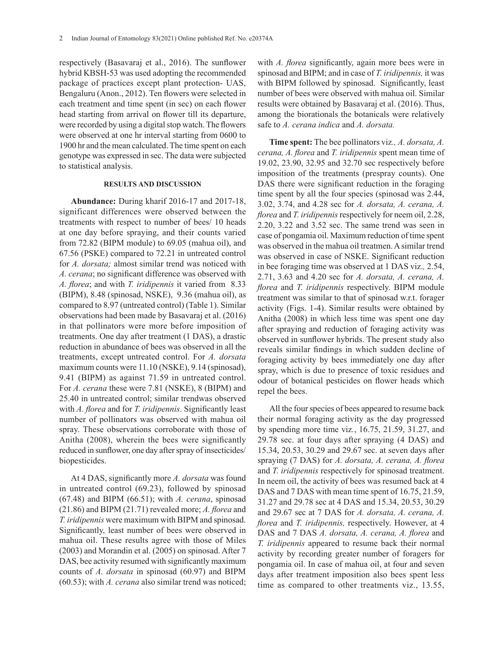respectively (Basavaraj et al., 2016). The sunflower hybrid KBSH-53 was used adopting the recommended package of practices except plant protection- UAS, Bengaluru (Anon., 2012). Ten flowers were selected in each treatment and time spent (in sec) on each flower head starting from arrival on flower till its departure, were recorded by using a digital stop watch. The flowers were observed at one hr interval starting from 0600 to 1900 hr and the mean calculated. The time spent on each genotype was expressed in sec. The data were subjected to statistical analysis.

### **RESULTS AND DISCUSSION**

**Abundance:** During kharif 2016-17 and 2017-18, significant differences were observed between the treatments with respect to number of bees/ 10 heads at one day before spraying, and their counts varied from 72.82 (BIPM module) to 69.05 (mahua oil), and 67.56 (PSKE) compared to 72.21 in untreated control for *A. dorsata;* almost similar trend was noticed with *A. cerana*; no significant difference was observed with *A. florea*; and with *T. iridipennis* it varied from 8.33 (BIPM), 8.48 (spinosad, NSKE), 9.36 (mahua oil), as compared to 8.97 (untreated control) (Table 1). Similar observations had been made by Basavaraj et al. (2016) in that pollinators were more before imposition of treatments. One day after treatment (1 DAS), a drastic reduction in abundance of bees was observed in all the treatments, except untreated control. For *A. dorsata*  maximum counts were 11.10 (NSKE), 9.14 (spinosad), 9.41 (BIPM) as against 71.59 in untreated control. For *A. cerana* these were 7.81 (NSKE), 8 (BIPM) and 25.40 in untreated control; similar trendwas observed with *A. florea* and for *T. iridipennis*. Significantly least number of pollinators was observed with mahua oil spray. These observations corroborate with those of Anitha (2008), wherein the bees were significantly reduced in sunflower, one day after spray of insecticides/ biopesticides.

At 4 DAS, significantly more *A. dorsata* was found in untreated control (69.23), followed by spinosad (67.48) and BIPM (66.51); with *A. cerana*, spinosad (21.86) and BIPM (21.71) revealed more; *A. florea* and *T. iridipennis* were maximum with BIPM and spinosad. Significantly, least number of bees were observed in mahua oil. These results agree with those of Miles (2003) and Morandin et al. (2005) on spinosad. After 7 DAS, bee activity resumed with significantly maximum counts of *A. dorsata* in spinosad (60.97) and BIPM (60.53); with *A. cerana* also similar trend was noticed; with *A. florea* significantly, again more bees were in spinosad and BIPM; and in case of *T. iridipennis,* it was with BIPM followed by spinosad. Significantly, least number of bees were observed with mahua oil. Similar results were obtained by Basavaraj et al. (2016). Thus, among the biorationals the botanicals were relatively safe to *A. cerana indica* and *A. dorsata.*

**Time spent:** The bee pollinators viz*., A. dorsata, A. cerana, A. florea* and *T. iridipennis* spent mean time of 19.02, 23.90, 32.95 and 32.70 sec respectively before imposition of the treatments (prespray counts). One DAS there were significant reduction in the foraging time spent by all the four species (spinosad was 2.44, 3.02, 3.74, and 4.28 sec for *A. dorsata, A. cerana, A. florea* and *T. iridipennis* respectively for neem oil, 2.28, 2.20, 3.22 and 3.52 sec. The same trend was seen in case of pongamia oil. Maximum reduction of time spent was observed in the mahua oil treatmen. A similar trend was observed in case of NSKE. Significant reduction in bee foraging time was observed at 1 DAS viz.*,* 2.54, 2.71, 3.63 and 4.20 sec for *A. dorsata, A. cerana, A. florea* and *T. iridipennis* respectively. BIPM module treatment was similar to that of spinosad w.r.t. forager activity (Figs. 1-4). Similar results were obtained by Anitha (2008) in which less time was spent one day after spraying and reduction of foraging activity was observed in sunflower hybrids. The present study also reveals similar findings in which sudden decline of foraging activity by bees immediately one day after spray, which is due to presence of toxic residues and odour of botanical pesticides on flower heads which repel the bees.

All the four species of bees appeared to resume back their normal foraging activity as the day progressed by spending more time viz*.*, 16.75, 21.59, 31.27, and 29.78 sec. at four days after spraying (4 DAS) and 15.34, 20.53, 30.29 and 29.67 sec. at seven days after spraying (7 DAS) for *A. dorsata, A. cerana, A. florea* and *T. iridipennis* respectively for spinosad treatment. In neem oil, the activity of bees was resumed back at 4 DAS and 7 DAS with mean time spent of 16.75, 21.59, 31.27 and 29.78 sec at 4 DAS and 15.34, 20.53, 30.29 and 29.67 sec at 7 DAS for *A. dorsata, A. cerana, A. florea* and *T. iridipennis,* respectively. However, at 4 DAS and 7 DAS *A. dorsata, A. cerana, A. florea* and *T. iridipennis* appeared to resume back their normal activity by recording greater number of foragers for pongamia oil. In case of mahua oil, at four and seven days after treatment imposition also bees spent less time as compared to other treatments viz., 13.55,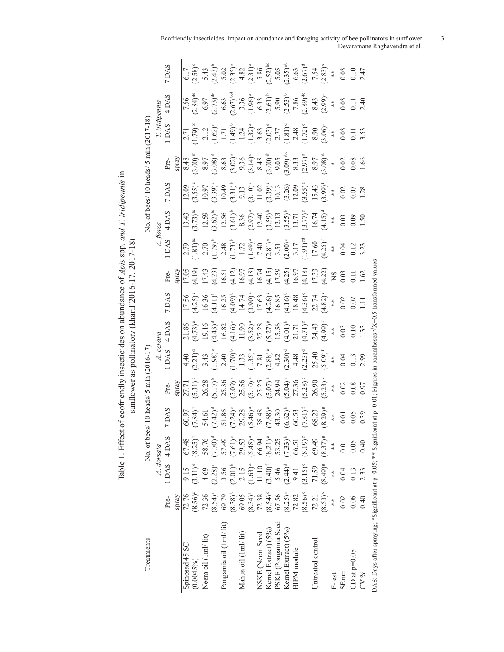Table 1. Effect of ecofriendly insecticides on abundance of *Apis* spp. and *T. iridipennis* in sumflower as pollinators (kharif 2016-17, 2017-18) Table 1. Effect of ecofriendly insecticides on abundance of *Apis* spp*. and T. iridipennis* in sunflower as pollinator*s* (kharif 2016-17, 2017-18)

|                                                                                                                                                                                                   | No. of bees |                                                                                                                                                                                                                                                                                                                 | $\frac{s}{10}$ heads/ 5 min (2016-17)                                                                                                                                                                                                                                                |                                                                                                                                                                                                                                                                                      |                                                                                                                                                                                                                                |                                                                                                                                                                                                                                                                                                     |                                                                                                                                                                                                                                                                                                       |                                                                                                                                                                                                                                                                                                                                                                                     |       |                                                                                                                                                                                                                                                                                                                                                                                                                                                | No. of bees/ 10 heads/ 5 min (2017-18)                                                                                                                                                                                                                                                               |                                                                                                                                                                                                                                                                                                                                   |                                                                                                                                                                                                                                                                             |                                                                                                                                                                                                                                                                          |
|---------------------------------------------------------------------------------------------------------------------------------------------------------------------------------------------------|-------------|-----------------------------------------------------------------------------------------------------------------------------------------------------------------------------------------------------------------------------------------------------------------------------------------------------------------|--------------------------------------------------------------------------------------------------------------------------------------------------------------------------------------------------------------------------------------------------------------------------------------|--------------------------------------------------------------------------------------------------------------------------------------------------------------------------------------------------------------------------------------------------------------------------------------|--------------------------------------------------------------------------------------------------------------------------------------------------------------------------------------------------------------------------------|-----------------------------------------------------------------------------------------------------------------------------------------------------------------------------------------------------------------------------------------------------------------------------------------------------|-------------------------------------------------------------------------------------------------------------------------------------------------------------------------------------------------------------------------------------------------------------------------------------------------------|-------------------------------------------------------------------------------------------------------------------------------------------------------------------------------------------------------------------------------------------------------------------------------------------------------------------------------------------------------------------------------------|-------|------------------------------------------------------------------------------------------------------------------------------------------------------------------------------------------------------------------------------------------------------------------------------------------------------------------------------------------------------------------------------------------------------------------------------------------------|------------------------------------------------------------------------------------------------------------------------------------------------------------------------------------------------------------------------------------------------------------------------------------------------------|-----------------------------------------------------------------------------------------------------------------------------------------------------------------------------------------------------------------------------------------------------------------------------------------------------------------------------------|-----------------------------------------------------------------------------------------------------------------------------------------------------------------------------------------------------------------------------------------------------------------------------|--------------------------------------------------------------------------------------------------------------------------------------------------------------------------------------------------------------------------------------------------------------------------|
| A. dorsata                                                                                                                                                                                        |             |                                                                                                                                                                                                                                                                                                                 |                                                                                                                                                                                                                                                                                      |                                                                                                                                                                                                                                                                                      |                                                                                                                                                                                                                                |                                                                                                                                                                                                                                                                                                     |                                                                                                                                                                                                                                                                                                       | $A.$ florea                                                                                                                                                                                                                                                                                                                                                                         |       |                                                                                                                                                                                                                                                                                                                                                                                                                                                |                                                                                                                                                                                                                                                                                                      |                                                                                                                                                                                                                                                                                                                                   |                                                                                                                                                                                                                                                                             |                                                                                                                                                                                                                                                                          |
| 1DAS 4DAS<br>Pre-                                                                                                                                                                                 |             | 7 DAS                                                                                                                                                                                                                                                                                                           | Pre-                                                                                                                                                                                                                                                                                 | $\frac{A. \,cerana}{1 \, DAS}$ $4 \, DA$                                                                                                                                                                                                                                             | 4 DAS                                                                                                                                                                                                                          | 7 DAS                                                                                                                                                                                                                                                                                               | Pre-                                                                                                                                                                                                                                                                                                  | 1 DAS                                                                                                                                                                                                                                                                                                                                                                               | 4 DAS | 7 DAS                                                                                                                                                                                                                                                                                                                                                                                                                                          | Pre-                                                                                                                                                                                                                                                                                                 | T. iridipennis<br>1 DAS      4 DA <sup>1</sup>                                                                                                                                                                                                                                                                                    | 4 DAS                                                                                                                                                                                                                                                                       | 7DAS                                                                                                                                                                                                                                                                     |
| spray                                                                                                                                                                                             |             |                                                                                                                                                                                                                                                                                                                 | spray                                                                                                                                                                                                                                                                                |                                                                                                                                                                                                                                                                                      |                                                                                                                                                                                                                                |                                                                                                                                                                                                                                                                                                     | <i>spray</i>                                                                                                                                                                                                                                                                                          |                                                                                                                                                                                                                                                                                                                                                                                     |       |                                                                                                                                                                                                                                                                                                                                                                                                                                                |                                                                                                                                                                                                                                                                                                      |                                                                                                                                                                                                                                                                                                                                   |                                                                                                                                                                                                                                                                             |                                                                                                                                                                                                                                                                          |
| 67.48<br>9.15<br>72.76                                                                                                                                                                            |             |                                                                                                                                                                                                                                                                                                                 |                                                                                                                                                                                                                                                                                      |                                                                                                                                                                                                                                                                                      |                                                                                                                                                                                                                                |                                                                                                                                                                                                                                                                                                     |                                                                                                                                                                                                                                                                                                       |                                                                                                                                                                                                                                                                                                                                                                                     |       |                                                                                                                                                                                                                                                                                                                                                                                                                                                |                                                                                                                                                                                                                                                                                                      |                                                                                                                                                                                                                                                                                                                                   |                                                                                                                                                                                                                                                                             |                                                                                                                                                                                                                                                                          |
| $(8.25)^{f}$<br>$(3.11)$ <sup>e</sup><br>$(8.56)^{\circ}$                                                                                                                                         |             | $\begin{array}{l} 60.97 \\ 60.94 \\ 7.84 \\ 7.42 \\ 8.6 \\ 7.24 \\ 8.6 \\ 7.24 \\ 9.8 \\ 1.86 \\ 1.86 \\ 1.24 \\ 9.8 \\ 1.24 \\ 9.8 \\ 1.24 \\ 9.8 \\ 1.24 \\ 9.8 \\ 1.24 \\ 9.8 \\ 1.25 \\ 1.25 \\ 1.25 \\ 1.25 \\ 1.25 \\ 1.25 \\ 1.25 \\ 1.25 \\ 1.25 \\ 1.25 \\ 1.25 \\ 1.25 \\ 1.25 \\ 1.25 \\ 1.25 \\ 1.$ |                                                                                                                                                                                                                                                                                      |                                                                                                                                                                                                                                                                                      |                                                                                                                                                                                                                                |                                                                                                                                                                                                                                                                                                     |                                                                                                                                                                                                                                                                                                       |                                                                                                                                                                                                                                                                                                                                                                                     |       |                                                                                                                                                                                                                                                                                                                                                                                                                                                |                                                                                                                                                                                                                                                                                                      |                                                                                                                                                                                                                                                                                                                                   |                                                                                                                                                                                                                                                                             |                                                                                                                                                                                                                                                                          |
| 4.69<br>72.36                                                                                                                                                                                     |             |                                                                                                                                                                                                                                                                                                                 |                                                                                                                                                                                                                                                                                      |                                                                                                                                                                                                                                                                                      |                                                                                                                                                                                                                                |                                                                                                                                                                                                                                                                                                     |                                                                                                                                                                                                                                                                                                       |                                                                                                                                                                                                                                                                                                                                                                                     |       |                                                                                                                                                                                                                                                                                                                                                                                                                                                |                                                                                                                                                                                                                                                                                                      |                                                                                                                                                                                                                                                                                                                                   |                                                                                                                                                                                                                                                                             |                                                                                                                                                                                                                                                                          |
| $\begin{array}{c} 58.76 \\ (7.70)^d \\ 57.49 \\ (7.61)^c \\ 29.53 \end{array}$<br>$(2.28)$ <sup>c</sup><br>$(8.54)$ <sup>c</sup>                                                                  |             |                                                                                                                                                                                                                                                                                                                 |                                                                                                                                                                                                                                                                                      |                                                                                                                                                                                                                                                                                      |                                                                                                                                                                                                                                |                                                                                                                                                                                                                                                                                                     |                                                                                                                                                                                                                                                                                                       |                                                                                                                                                                                                                                                                                                                                                                                     |       |                                                                                                                                                                                                                                                                                                                                                                                                                                                |                                                                                                                                                                                                                                                                                                      |                                                                                                                                                                                                                                                                                                                                   |                                                                                                                                                                                                                                                                             |                                                                                                                                                                                                                                                                          |
| 3.56<br>69.79                                                                                                                                                                                     |             |                                                                                                                                                                                                                                                                                                                 |                                                                                                                                                                                                                                                                                      |                                                                                                                                                                                                                                                                                      |                                                                                                                                                                                                                                |                                                                                                                                                                                                                                                                                                     |                                                                                                                                                                                                                                                                                                       |                                                                                                                                                                                                                                                                                                                                                                                     |       |                                                                                                                                                                                                                                                                                                                                                                                                                                                |                                                                                                                                                                                                                                                                                                      |                                                                                                                                                                                                                                                                                                                                   |                                                                                                                                                                                                                                                                             |                                                                                                                                                                                                                                                                          |
| $(2.01)^{b}$<br>$(8.38)^{b}$                                                                                                                                                                      |             |                                                                                                                                                                                                                                                                                                                 |                                                                                                                                                                                                                                                                                      |                                                                                                                                                                                                                                                                                      |                                                                                                                                                                                                                                |                                                                                                                                                                                                                                                                                                     |                                                                                                                                                                                                                                                                                                       |                                                                                                                                                                                                                                                                                                                                                                                     |       |                                                                                                                                                                                                                                                                                                                                                                                                                                                |                                                                                                                                                                                                                                                                                                      |                                                                                                                                                                                                                                                                                                                                   |                                                                                                                                                                                                                                                                             |                                                                                                                                                                                                                                                                          |
| 2.15<br>69.05                                                                                                                                                                                     |             |                                                                                                                                                                                                                                                                                                                 |                                                                                                                                                                                                                                                                                      |                                                                                                                                                                                                                                                                                      |                                                                                                                                                                                                                                |                                                                                                                                                                                                                                                                                                     |                                                                                                                                                                                                                                                                                                       |                                                                                                                                                                                                                                                                                                                                                                                     |       |                                                                                                                                                                                                                                                                                                                                                                                                                                                |                                                                                                                                                                                                                                                                                                      |                                                                                                                                                                                                                                                                                                                                   |                                                                                                                                                                                                                                                                             |                                                                                                                                                                                                                                                                          |
| $1.63)^a$<br>11.10<br>$(8.34)^b$<br>72.38                                                                                                                                                         |             |                                                                                                                                                                                                                                                                                                                 |                                                                                                                                                                                                                                                                                      |                                                                                                                                                                                                                                                                                      |                                                                                                                                                                                                                                |                                                                                                                                                                                                                                                                                                     |                                                                                                                                                                                                                                                                                                       |                                                                                                                                                                                                                                                                                                                                                                                     |       |                                                                                                                                                                                                                                                                                                                                                                                                                                                |                                                                                                                                                                                                                                                                                                      |                                                                                                                                                                                                                                                                                                                                   |                                                                                                                                                                                                                                                                             |                                                                                                                                                                                                                                                                          |
|                                                                                                                                                                                                   |             |                                                                                                                                                                                                                                                                                                                 |                                                                                                                                                                                                                                                                                      |                                                                                                                                                                                                                                                                                      |                                                                                                                                                                                                                                |                                                                                                                                                                                                                                                                                                     |                                                                                                                                                                                                                                                                                                       |                                                                                                                                                                                                                                                                                                                                                                                     |       |                                                                                                                                                                                                                                                                                                                                                                                                                                                |                                                                                                                                                                                                                                                                                                      |                                                                                                                                                                                                                                                                                                                                   |                                                                                                                                                                                                                                                                             |                                                                                                                                                                                                                                                                          |
| $(3.40)^{f}$<br>$(8.54)$ °                                                                                                                                                                        |             |                                                                                                                                                                                                                                                                                                                 |                                                                                                                                                                                                                                                                                      |                                                                                                                                                                                                                                                                                      |                                                                                                                                                                                                                                |                                                                                                                                                                                                                                                                                                     |                                                                                                                                                                                                                                                                                                       |                                                                                                                                                                                                                                                                                                                                                                                     |       |                                                                                                                                                                                                                                                                                                                                                                                                                                                |                                                                                                                                                                                                                                                                                                      |                                                                                                                                                                                                                                                                                                                                   |                                                                                                                                                                                                                                                                             |                                                                                                                                                                                                                                                                          |
| 67.56                                                                                                                                                                                             |             |                                                                                                                                                                                                                                                                                                                 |                                                                                                                                                                                                                                                                                      |                                                                                                                                                                                                                                                                                      |                                                                                                                                                                                                                                |                                                                                                                                                                                                                                                                                                     |                                                                                                                                                                                                                                                                                                       |                                                                                                                                                                                                                                                                                                                                                                                     |       |                                                                                                                                                                                                                                                                                                                                                                                                                                                |                                                                                                                                                                                                                                                                                                      |                                                                                                                                                                                                                                                                                                                                   |                                                                                                                                                                                                                                                                             |                                                                                                                                                                                                                                                                          |
| $(5.48)^{a}$<br>$66.94$<br>$(8.21)^{e}$<br>$53.25$<br>$(7.33)^{b}$<br>$66.51$<br>$(8.19)^{e}$<br>$5.46$<br>$(2.44)$ <sup>d</sup><br>$9.41$<br>$(3.15)$ <sup>e</sup><br>$\frac{(8.25)^{a}}{72.82}$ |             |                                                                                                                                                                                                                                                                                                                 |                                                                                                                                                                                                                                                                                      |                                                                                                                                                                                                                                                                                      |                                                                                                                                                                                                                                |                                                                                                                                                                                                                                                                                                     |                                                                                                                                                                                                                                                                                                       |                                                                                                                                                                                                                                                                                                                                                                                     |       |                                                                                                                                                                                                                                                                                                                                                                                                                                                |                                                                                                                                                                                                                                                                                                      |                                                                                                                                                                                                                                                                                                                                   |                                                                                                                                                                                                                                                                             |                                                                                                                                                                                                                                                                          |
|                                                                                                                                                                                                   |             |                                                                                                                                                                                                                                                                                                                 |                                                                                                                                                                                                                                                                                      |                                                                                                                                                                                                                                                                                      |                                                                                                                                                                                                                                |                                                                                                                                                                                                                                                                                                     |                                                                                                                                                                                                                                                                                                       |                                                                                                                                                                                                                                                                                                                                                                                     |       |                                                                                                                                                                                                                                                                                                                                                                                                                                                |                                                                                                                                                                                                                                                                                                      |                                                                                                                                                                                                                                                                                                                                   |                                                                                                                                                                                                                                                                             |                                                                                                                                                                                                                                                                          |
| $(8.56)$ <sup>c</sup>                                                                                                                                                                             |             |                                                                                                                                                                                                                                                                                                                 |                                                                                                                                                                                                                                                                                      |                                                                                                                                                                                                                                                                                      |                                                                                                                                                                                                                                |                                                                                                                                                                                                                                                                                                     |                                                                                                                                                                                                                                                                                                       |                                                                                                                                                                                                                                                                                                                                                                                     |       |                                                                                                                                                                                                                                                                                                                                                                                                                                                |                                                                                                                                                                                                                                                                                                      |                                                                                                                                                                                                                                                                                                                                   |                                                                                                                                                                                                                                                                             |                                                                                                                                                                                                                                                                          |
| 69.49<br>71.59<br>72.21                                                                                                                                                                           |             |                                                                                                                                                                                                                                                                                                                 |                                                                                                                                                                                                                                                                                      |                                                                                                                                                                                                                                                                                      |                                                                                                                                                                                                                                |                                                                                                                                                                                                                                                                                                     |                                                                                                                                                                                                                                                                                                       |                                                                                                                                                                                                                                                                                                                                                                                     |       |                                                                                                                                                                                                                                                                                                                                                                                                                                                |                                                                                                                                                                                                                                                                                                      |                                                                                                                                                                                                                                                                                                                                   |                                                                                                                                                                                                                                                                             |                                                                                                                                                                                                                                                                          |
| $(8.37)$ <sup>g</sup><br>$(8.49)$ <sup>g</sup><br>$(8.53)^{\circ}$                                                                                                                                |             |                                                                                                                                                                                                                                                                                                                 |                                                                                                                                                                                                                                                                                      |                                                                                                                                                                                                                                                                                      |                                                                                                                                                                                                                                |                                                                                                                                                                                                                                                                                                     |                                                                                                                                                                                                                                                                                                       |                                                                                                                                                                                                                                                                                                                                                                                     |       |                                                                                                                                                                                                                                                                                                                                                                                                                                                |                                                                                                                                                                                                                                                                                                      |                                                                                                                                                                                                                                                                                                                                   |                                                                                                                                                                                                                                                                             |                                                                                                                                                                                                                                                                          |
| $\stackrel{\text{w}}{\ast}$<br>$\frac{1}{2}$                                                                                                                                                      |             |                                                                                                                                                                                                                                                                                                                 |                                                                                                                                                                                                                                                                                      |                                                                                                                                                                                                                                                                                      |                                                                                                                                                                                                                                |                                                                                                                                                                                                                                                                                                     |                                                                                                                                                                                                                                                                                                       |                                                                                                                                                                                                                                                                                                                                                                                     |       |                                                                                                                                                                                                                                                                                                                                                                                                                                                |                                                                                                                                                                                                                                                                                                      |                                                                                                                                                                                                                                                                                                                                   |                                                                                                                                                                                                                                                                             |                                                                                                                                                                                                                                                                          |
| 0.01<br>0.04<br>0.02                                                                                                                                                                              |             |                                                                                                                                                                                                                                                                                                                 | $7.71$<br>$7.71$<br>$7.63$<br>$7.75$<br>$7.56$<br>$7.56$<br>$7.56$<br>$7.56$<br>$7.56$<br>$7.56$<br>$7.56$<br>$7.56$<br>$7.56$<br>$7.56$<br>$7.56$<br>$7.56$<br>$7.56$<br>$7.56$<br>$7.56$<br>$7.56$<br>$7.56$<br>$7.56$<br>$7.56$<br>$7.56$<br>$7.56$<br>$7.56$<br>$7.56$<br>$7.56$ | $4.40$<br>$4.21$<br>$7.21$<br>$7.21$<br>$7.21$<br>$7.21$<br>$7.21$<br>$7.21$<br>$7.21$<br>$7.21$<br>$7.21$<br>$7.21$<br>$7.21$<br>$7.21$<br>$7.21$<br>$7.21$<br>$7.21$<br>$7.21$<br>$7.21$<br>$7.21$<br>$7.21$<br>$7.21$<br>$7.21$<br>$7.21$<br>$7.21$<br>$7.21$<br>$7.21$<br>$7.21$ | $(1.86)$ $(4.73)$ $(4.9)$ $(4.9)$ $(4.9)$ $(4.9)$ $(4.9)$ $(4.9)$ $(4.9)$ $(4.9)$ $(4.9)$ $(4.9)$ $(4.9)$ $(4.9)$ $(4.9)$ $(4.9)$ $(4.9)$ $(4.9)$ $(4.9)$ $(4.9)$ $(4.9)$ $(4.9)$ $(4.9)$ $(4.9)$ $(4.9)$ $(4.9)$ $(4.9)$ $(4$ | $\begin{array}{l} 17.56 \\ 17.59 \\ 16.36 \\ 16.37 \\ 17.59 \\ 17.59 \\ 17.59 \\ 17.59 \\ 17.59 \\ 17.59 \\ 17.59 \\ 17.59 \\ 17.59 \\ 17.59 \\ 17.59 \\ 17.59 \\ 17.59 \\ 17.59 \\ 17.59 \\ 17.59 \\ 17.59 \\ 17.59 \\ 17.59 \\ 17.59 \\ 17.59 \\ 17.59 \\ 17.59 \\ 17.59 \\ 17.59 \\ 17.59 \\ 17$ | $\begin{array}{l} 17.05 \\ 17.41 \\ 17.42 \\ 18.51 \\ 19.51 \\ 15.51 \\ 15.51 \\ 16.51 \\ 17.52 \\ 18.51 \\ 19.52 \\ 15.53 \\ 19.54 \\ 19.55 \\ 10.57 \\ 19.59 \\ 10.53 \\ 10.57 \\ 10.59 \\ 11.53 \\ 12.54 \\ 13.55 \\ 14.51 \\ 15.52 \\ 15.53 \\ 16.53 \\ 17.54 \\ 18.5 \\ 19.5 \\ 19.5 \\ 10.5 \\$ | $\begin{array}{l} (7,7)^\circ\\ (1,81)^\circ\\ (1,90)^\circ\\ (1,91)^\circ\\ (1,92)^\circ\\ (1,93)^\circ\\ (1,94)^\circ\\ (1,95)^\circ\\ (1,96)^\circ\\ (1,97)^\circ\\ (1,98)^\circ\\ (1,91)^\circ\\ (1,91)^\circ\\ (1,91)^\circ\\ (1,91)^\circ\\ (1,91)^\circ\\ (1,91)^\circ\\ (1,91)^\circ\\ (1,91)^\circ\\ (1,91)^\circ\\ (1,91)^\circ\\ (1,91)^\circ\\ (1,91)^\circ\\ (1,91)^\$ |       | $\begin{array}{l} 12.09\\ 19.5\text{ }\overset{\circ}{\text{10}}\\ 19.9\text{ }\overset{\circ}{\text{10}}\\ 10.9\text{ }\overset{\circ}{\text{11}}\\ 11.0\text{ }\overset{\circ}{\text{12}}\\ 12.0\text{ }\overset{\circ}{\text{13}}\\ 13.1\text{ }\overset{\circ}{\text{14}}\\ 14.1\text{ }\overset{\circ}{\text{15}}\\ 15.2\text{ }\overset{\circ}{\text{16}}\\ 16.2\text{ }\overset{\circ}{\text{15}}\\ 17.5\text{ }\overset{\circ}{\text{$ | $\frac{\text{span}}{8.48}$ $\frac{(3.00)}{8.90}$ $\frac{8.97}{8.63}$ $\frac{(3.00)}{8.63}$ $\frac{(3.00)}{8.63}$ $\frac{(3.00)}{8.63}$ $\frac{(3.00)}{8.63}$ $\frac{(3.00)}{8.63}$ $\frac{(3.00)}{8.63}$ $\frac{(3.00)}{8.63}$ $\frac{(3.00)}{8.63}$ $\frac{(3.00)}{8.63}$ $\frac{(3.00)}{8.63}$ $\$ | $\begin{array}{l} 7.71 \\ (1.79) \\ (1.62) \\ (1.63) \\ (1.49) \\ (1.41) \\ (1.42) \\ (1.43) \\ (1.45) \\ (1.41) \\ (1.42) \\ (1.43) \\ (1.41) \\ (1.41) \\ (1.41) \\ (1.42) \\ (1.43) \\ (1.45) \\ (1.46) \\ (1.47) \\ (1.48) \\ (1.49) \\ (1.40) \\ (1.41) \\ (1.42) \\ (1.41) \\ (1.42) \\ (1.43) \\ (1.44) \\ (1.45) \\ (1.4$ | $7.56$<br>$(2.84)^4$<br>$(6.97)$<br>$(6.97)$<br>$(6.97)$<br>$(6.97)$<br>$(6.97)$<br>$(6.97)$<br>$(6.97)$<br>$(6.97)$<br>$(6.97)$<br>$(6.97)$<br>$(6.97)$<br>$(6.97)$<br>$(6.97)$<br>$(6.97)$<br>$(6.97)$<br>$(6.97)$<br>$(6.97)$<br>$(6.97)$<br>$(6.97)$<br>$(6.97)$<br>$($ | $(5.17)$<br>$(2.58)$<br>$(3.43)$<br>$(2.43)$<br>$(3.43)$<br>$(2.43)$<br>$(3.43)$<br>$(3.43)$<br>$(3.43)$<br>$(3.43)$<br>$(3.43)$<br>$(3.43)$<br>$(3.43)$<br>$(3.43)$<br>$(3.43)$<br>$(3.43)$<br>$(3.43)$<br>$(3.43)$<br>$(3.43)$<br>$(3.43)$<br>$(3.43)$<br>$(3.43)$<br> |
| 0.05<br>0.13<br>0.06                                                                                                                                                                              |             |                                                                                                                                                                                                                                                                                                                 |                                                                                                                                                                                                                                                                                      |                                                                                                                                                                                                                                                                                      |                                                                                                                                                                                                                                |                                                                                                                                                                                                                                                                                                     |                                                                                                                                                                                                                                                                                                       |                                                                                                                                                                                                                                                                                                                                                                                     |       |                                                                                                                                                                                                                                                                                                                                                                                                                                                |                                                                                                                                                                                                                                                                                                      |                                                                                                                                                                                                                                                                                                                                   |                                                                                                                                                                                                                                                                             |                                                                                                                                                                                                                                                                          |
| 0.40<br>2.33<br>0.40                                                                                                                                                                              |             |                                                                                                                                                                                                                                                                                                                 |                                                                                                                                                                                                                                                                                      |                                                                                                                                                                                                                                                                                      |                                                                                                                                                                                                                                |                                                                                                                                                                                                                                                                                                     |                                                                                                                                                                                                                                                                                                       |                                                                                                                                                                                                                                                                                                                                                                                     |       |                                                                                                                                                                                                                                                                                                                                                                                                                                                |                                                                                                                                                                                                                                                                                                      |                                                                                                                                                                                                                                                                                                                                   |                                                                                                                                                                                                                                                                             |                                                                                                                                                                                                                                                                          |
| DAS: Days after spraying; *Significant at p=0.05; ** Significa                                                                                                                                    |             |                                                                                                                                                                                                                                                                                                                 | ant at $p=0.01$ ; Figures in parentheses $\sqrt{X+0.5}$ transformed values                                                                                                                                                                                                           |                                                                                                                                                                                                                                                                                      |                                                                                                                                                                                                                                |                                                                                                                                                                                                                                                                                                     |                                                                                                                                                                                                                                                                                                       |                                                                                                                                                                                                                                                                                                                                                                                     |       |                                                                                                                                                                                                                                                                                                                                                                                                                                                |                                                                                                                                                                                                                                                                                                      |                                                                                                                                                                                                                                                                                                                                   |                                                                                                                                                                                                                                                                             |                                                                                                                                                                                                                                                                          |

Ecofriendly insecticides: impact on abundance and foraging activity of bee pollinators in sunflower 3 Devaramane Raghavendra et al.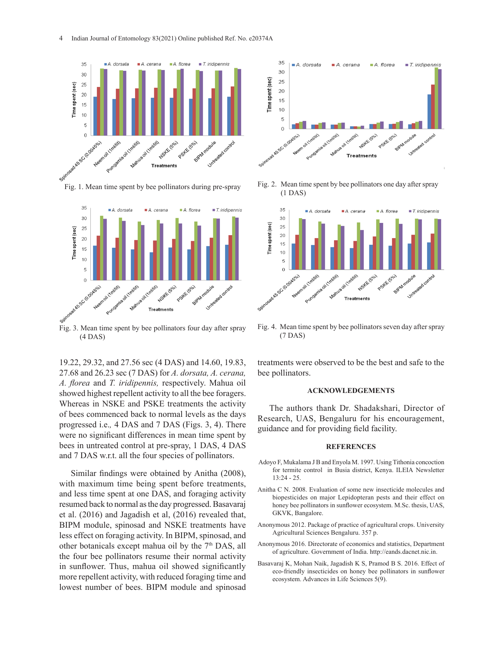

Fig. 1. Mean time spent by bee pollinators during pre-spray



Fig. 3. Mean time spent by bee pollinators four day after spray (4 DAS)

19.22, 29.32, and 27.56 sec (4 DAS) and 14.60, 19.83, 27.68 and 26.23 sec (7 DAS) for *A. dorsata, A. cerana, A. florea* and *T. iridipennis,* respectively. Mahua oil showed highest repellent activity to all the bee foragers. Whereas in NSKE and PSKE treatments the activity of bees commenced back to normal levels as the days progressed i.e.*,* 4 DAS and 7 DAS (Figs. 3, 4). There were no significant differences in mean time spent by bees in untreated control at pre-spray, 1 DAS, 4 DAS and 7 DAS w.r.t. all the four species of pollinators. 6

Similar findings were obtained by Anitha (2008), with maximum time being spent before treatments, and less time spent at one DAS, and foraging activity resumed back to normal as the day progressed. Basavaraj et al. (2016) and Jagadish et al, (2016) revealed that, BIPM module, spinosad and NSKE treatments have less effect on foraging activity. In BIPM, spinosad, and other botanicals except mahua oil by the 7<sup>th</sup> DAS, all the four bee pollinators resume their normal activity in sunflower. Thus, mahua oil showed significantly more repellent activity, with reduced foraging time and lowest number of bees. BIPM module and spinosad



Fig. 2. Mean time spent by bee pollinators one day after spray (1 DAS)



Fig. 4. Mean time spent by bee pollinators seven day after spray (7 DAS)

treatments were observed to be the best and safe to the bee pollinators.

#### **ACKNOWLEDGEMENTS**

The authors thank Dr. Shadakshari, Director of Research, UAS, Bengaluru for his encouragement, guidance and for providing field facility.

#### **REFERENCES**

- Adoyo F, Mukalama J B and Enyola M. 1997. Using Tithonia concoction for termite control in Busia district, Kenya. ILEIA Newsletter 13:24 - 25.
- Anitha C N. 2008. Evaluation of some new insecticide molecules and biopesticides on major Lepidopteran pests and their effect on honey bee pollinators in sunflower ecosystem. M.Sc. thesis, UAS, GKVK, Bangalore.
- Anonymous 2012. Package of practice of agricultural crops. University Agricultural Sciences Bengaluru. 357 p.
- Anonymous 2016. Directorate of economics and statistics, Department of agriculture. Government of India. http://eands.dacnet.nic.in.
- Basavaraj K, Mohan Naik, Jagadish K S, Pramod B S. 2016. Effect of eco-friendly insecticides on honey bee pollinators in sunflower ecosystem. Advances in Life Sciences 5(9).